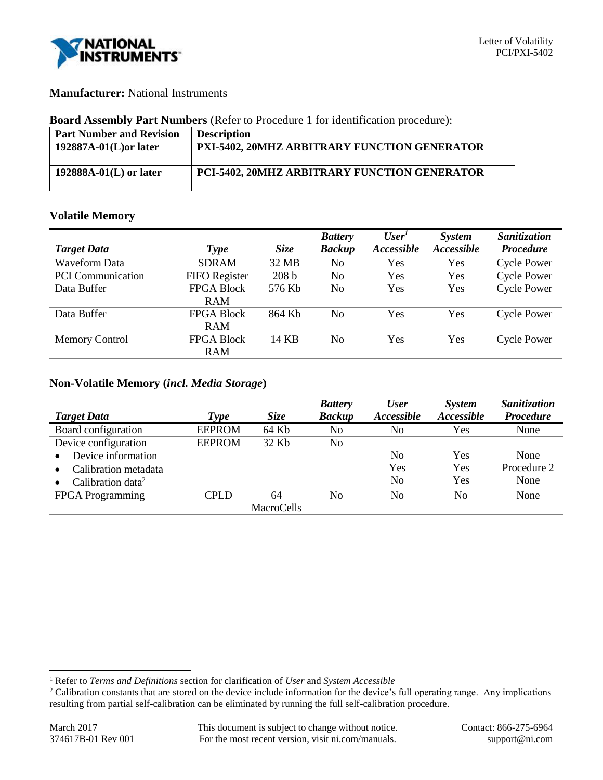

## **Manufacturer:** National Instruments

#### **Board Assembly Part Numbers** (Refer to Procedure 1 for identification procedure):

| <b>Part Number and Revision</b> | <b>Description</b>                           |
|---------------------------------|----------------------------------------------|
| $192887A-01(L)$ or later        | PXI-5402, 20MHZ ARBITRARY FUNCTION GENERATOR |
| $192888A-01(L)$ or later        | PCI-5402, 20MHZ ARBITRARY FUNCTION GENERATOR |

## **Volatile Memory**

|                          |                   |                  | <b>Battery</b> | User <sup>1</sup> | <b>System</b> | Sanitization       |
|--------------------------|-------------------|------------------|----------------|-------------------|---------------|--------------------|
| <b>Target Data</b>       | Type              | <b>Size</b>      | <b>Backup</b>  | Accessible        | Accessible    | <b>Procedure</b>   |
| <b>Waveform Data</b>     | <b>SDRAM</b>      | 32 MB            | No             | Yes               | Yes           | <b>Cycle Power</b> |
| <b>PCI</b> Communication | FIFO Register     | 208 <sub>b</sub> | No             | Yes               | Yes           | <b>Cycle Power</b> |
| Data Buffer              | <b>FPGA Block</b> | 576 Kb           | N <sub>0</sub> | Yes               | Yes           | <b>Cycle Power</b> |
|                          | <b>RAM</b>        |                  |                |                   |               |                    |
| Data Buffer              | <b>FPGA Block</b> | 864 Kb           | No             | Yes               | Yes           | <b>Cycle Power</b> |
|                          | <b>RAM</b>        |                  |                |                   |               |                    |
| <b>Memory Control</b>    | <b>FPGA Block</b> | 14 KB            | N <sub>0</sub> | Yes               | Yes           | <b>Cycle Power</b> |
|                          | <b>RAM</b>        |                  |                |                   |               |                    |

### **Non-Volatile Memory (***incl. Media Storage***)**

|                               |               |                   | <b>Battery</b> | <b>User</b>    | System     | Sanitization     |
|-------------------------------|---------------|-------------------|----------------|----------------|------------|------------------|
| <b>Target Data</b>            | <b>Type</b>   | <b>Size</b>       | <b>Backup</b>  | Accessible     | Accessible | <b>Procedure</b> |
| Board configuration           | <b>EEPROM</b> | 64 Kb             | No             | No             | Yes        | None             |
| Device configuration          | <b>EEPROM</b> | 32 Kb             | No             |                |            |                  |
| Device information            |               |                   |                | No             | Yes        | None             |
| Calibration metadata          |               |                   |                | Yes            | Yes        | Procedure 2      |
| Calibration data <sup>2</sup> |               |                   |                | N <sub>0</sub> | Yes        | None             |
| <b>FPGA</b> Programming       | CPLD          | 64                | No             | N <sub>0</sub> | No         | None             |
|                               |               | <b>MacroCells</b> |                |                |            |                  |

l

<sup>1</sup> Refer to *Terms and Definitions* section for clarification of *User* and *System Accessible*

<sup>&</sup>lt;sup>2</sup> Calibration constants that are stored on the device include information for the device's full operating range. Any implications resulting from partial self-calibration can be eliminated by running the full self-calibration procedure.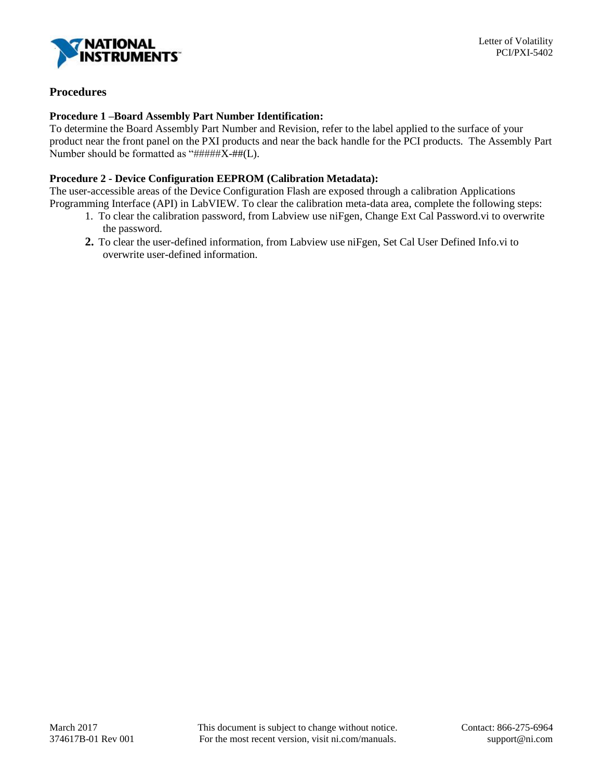

# **Procedures**

### **Procedure 1 –Board Assembly Part Number Identification:**

To determine the Board Assembly Part Number and Revision, refer to the label applied to the surface of your product near the front panel on the PXI products and near the back handle for the PCI products. The Assembly Part Number should be formatted as "#####X-##(L).

## **Procedure 2 - Device Configuration EEPROM (Calibration Metadata):**

The user-accessible areas of the Device Configuration Flash are exposed through a calibration Applications Programming Interface (API) in LabVIEW. To clear the calibration meta-data area, complete the following steps:

- 1. To clear the calibration password, from Labview use niFgen, Change Ext Cal Password.vi to overwrite the password.
- **2.** To clear the user-defined information, from Labview use niFgen, Set Cal User Defined Info.vi to overwrite user-defined information.